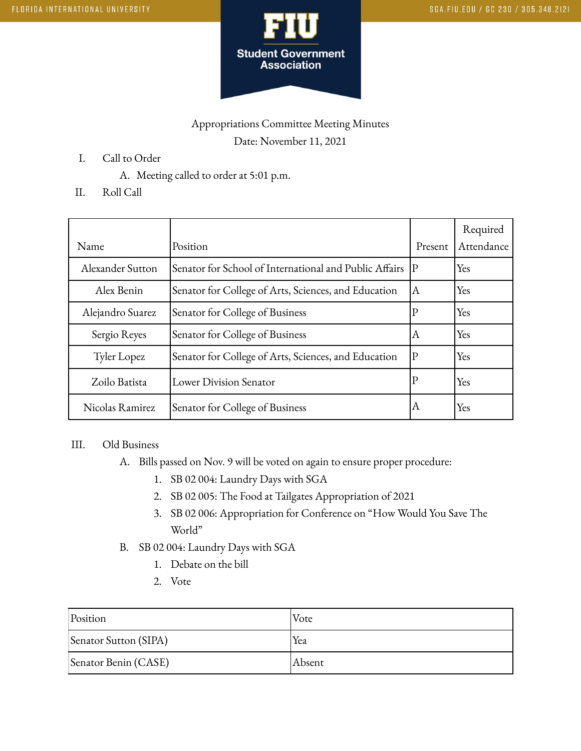

## Appropriations Committee Meeting Minutes Date: November 11, 2021

- I. Call to Order
	- A. Meeting called to order at 5:01 p.m.
- II. Roll Call

| Name             | Position                                               | Present     | Required<br>Attendance |
|------------------|--------------------------------------------------------|-------------|------------------------|
| Alexander Sutton | Senator for School of International and Public Affairs | $ {\bf P} $ | Yes                    |
| Alex Benin       | Senator for College of Arts, Sciences, and Education   | IА          | Yes                    |
| Alejandro Suarez | Senator for College of Business                        | P           | Yes                    |
| Sergio Reyes     | Senator for College of Business                        | ΙA          | Yes                    |
| Tyler Lopez      | Senator for College of Arts, Sciences, and Education   | $\mathbf P$ | Yes                    |
| Zoilo Batista    | Lower Division Senator                                 | P           | Yes                    |
| Nicolas Ramirez  | Senator for College of Business                        | А           | Yes                    |

### III. Old Business

- A. Bills passed on Nov. 9 will be voted on again to ensure proper procedure:
	- 1. SB 02 004: Laundry Days with SGA
	- 2. SB 02 005: The Food at Tailgates Appropriation of 2021
	- 3. SB 02 006: Appropriation for Conference on "How Would You Save The World"
- B. SB 02 004: Laundry Days with SGA
	- 1. Debate on the bill
	- 2. Vote

| Position              | Vote   |
|-----------------------|--------|
| Senator Sutton (SIPA) | Yea    |
| Senator Benin (CASE)  | Absent |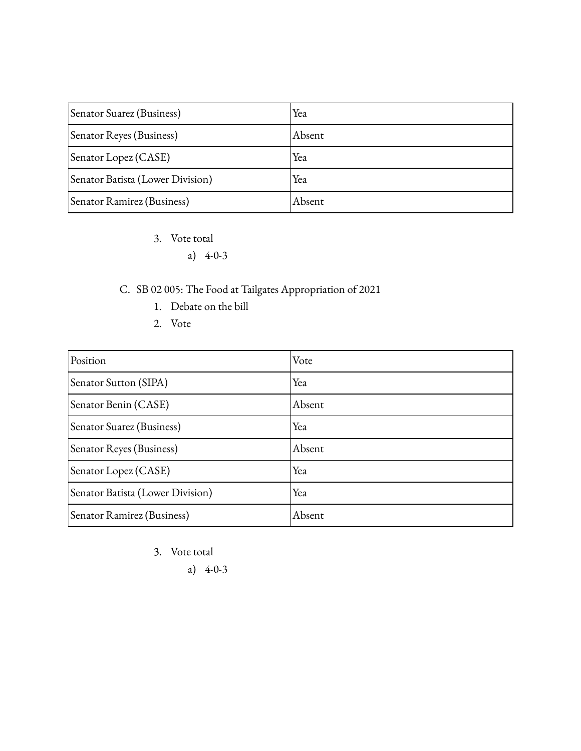| Senator Suarez (Business)        | Yea     |
|----------------------------------|---------|
| Senator Reyes (Business)         | IAbsent |
| Senator Lopez (CASE)             | Yea     |
| Senator Batista (Lower Division) | Yea     |
| Senator Ramirez (Business)       | Absent  |

- 3. Vote total
	- a) 4-0-3

# C. SB 02 005: The Food at Tailgates Appropriation of 2021

- 1. Debate on the bill
- 2. Vote

| Position                         | Vote   |
|----------------------------------|--------|
| Senator Sutton (SIPA)            | Yea    |
| Senator Benin (CASE)             | Absent |
| Senator Suarez (Business)        | Yea    |
| Senator Reyes (Business)         | Absent |
| Senator Lopez (CASE)             | Yea    |
| Senator Batista (Lower Division) | Yea    |
| Senator Ramirez (Business)       | Absent |

- 3. Vote total
	- a) 4-0-3